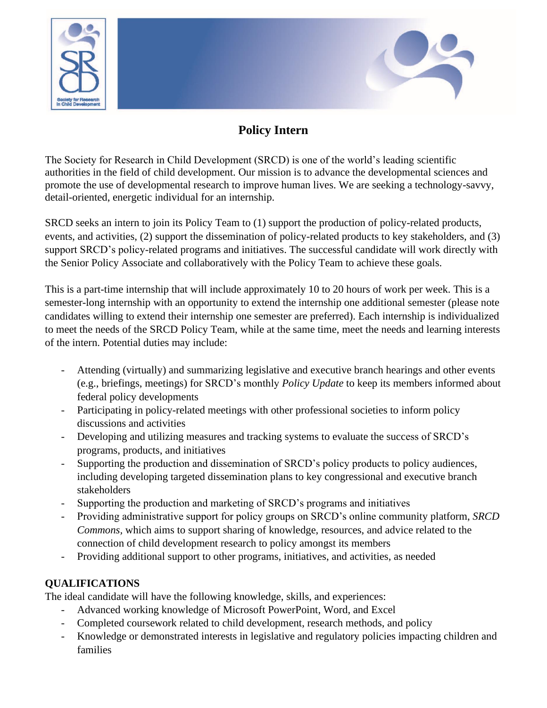



The Society for Research in Child Development (SRCD) is one of the world's leading scientific authorities in the field of child development. Our mission is to advance the developmental sciences and promote the use of developmental research to improve human lives. We are seeking a technology-savvy, detail-oriented, energetic individual for an internship.

SRCD seeks an intern to join its Policy Team to (1) support the production of policy-related products, events, and activities, (2) support the dissemination of policy-related products to key stakeholders, and (3) support SRCD's policy-related programs and initiatives. The successful candidate will work directly with the Senior Policy Associate and collaboratively with the Policy Team to achieve these goals.

This is a part-time internship that will include approximately 10 to 20 hours of work per week. This is a semester-long internship with an opportunity to extend the internship one additional semester (please note candidates willing to extend their internship one semester are preferred). Each internship is individualized to meet the needs of the SRCD Policy Team, while at the same time, meet the needs and learning interests of the intern. Potential duties may include:

- Attending (virtually) and summarizing legislative and executive branch hearings and other events (e.g., briefings, meetings) for SRCD's monthly *Policy Update* to keep its members informed about federal policy developments
- Participating in policy-related meetings with other professional societies to inform policy discussions and activities
- Developing and utilizing measures and tracking systems to evaluate the success of SRCD's programs, products, and initiatives
- Supporting the production and dissemination of SRCD's policy products to policy audiences, including developing targeted dissemination plans to key congressional and executive branch stakeholders
- Supporting the production and marketing of SRCD's programs and initiatives
- Providing administrative support for policy groups on SRCD's online community platform, *SRCD Commons,* which aims to support sharing of knowledge, resources, and advice related to the connection of child development research to policy amongst its members
- Providing additional support to other programs, initiatives, and activities, as needed

## **QUALIFICATIONS**

The ideal candidate will have the following knowledge, skills, and experiences:

- Advanced working knowledge of Microsoft PowerPoint, Word, and Excel
- Completed coursework related to child development, research methods, and policy
- Knowledge or demonstrated interests in legislative and regulatory policies impacting children and families